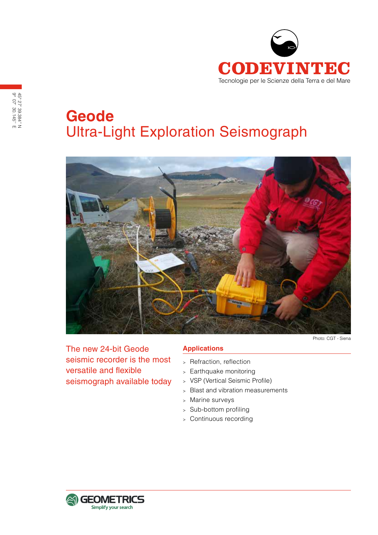

# **Geode** Ultra-Light Exploration Seismograph



The new 24-bit Geode seismic recorder is the most versatile and flexible seismograph available today

# **Applications**

- <sup>&</sup>gt; Refraction, reflection
- <sup>&</sup>gt; Earthquake monitoring
- <sup>&</sup>gt; VSP (Vertical Seismic Profile)
- <sup>&</sup>gt; Blast and vibration measurements
- <sup>&</sup>gt; Marine surveys
- <sup>&</sup>gt; Sub-bottom profiling
- <sup>&</sup>gt; Continuous recording

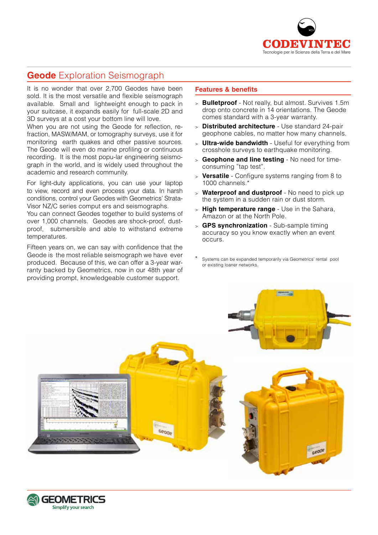

# **Geode** Exploration Seismograph

It is no wonder that over 2,700 Geodes have been sold. It is the most versatile and flexible seismograph available. Small and lightweight enough to pack in your suitcase, it expands easily for full-scale 2D and 3D surveys at a cost your bottom line will love.

When you are not using the Geode for reflection, refraction, MASW/MAM, or tomography surveys, use it for monitoring earth quakes and other passive sources. The Geode will even do marine profiling or continuous recording. It is the most popu-lar engineering seismograph in the world, and is widely used throughout the academic and research community.

For light-duty applications, you can use your laptop to view, record and even process your data. In harsh conditions, control your Geodes with Geometrics' Strata-Visor NZ/C series comput ers and seismographs.

You can connect Geodes together to build systems of over 1,000 channels. Geodes are shock-proof, dustproof, submersible and able to withstand extreme temperatures.

Fifteen years on, we can say with confidence that the Geode is the most reliable seismograph we have ever produced. Because of this, we can offer a 3-year warranty backed by Geometrics, now in our 48th year of providing prompt, knowledgeable customer support.

# **Features & benefits**

- <sup>&</sup>gt; **Bulletproof** Not really, but almost. Survives 1.5m drop onto concrete in 14 orientations. The Geode comes standard with a 3-year warranty.
- <sup>&</sup>gt; **Distributed architecture** Use standard 24-pair geophone cables, no matter how many channels.
- <sup>&</sup>gt; **Ultra-wide bandwidth** Useful for everything from crosshole surveys to earthquake monitoring.
- <sup>&</sup>gt; **Geophone and line testing** No need for timeconsuming "tap test".
- <sup>&</sup>gt; **Versatile** Configure systems ranging from 8 to 1000 channels.\*
- <sup>&</sup>gt; **Waterproof and dustproof** No need to pick up the system in a sudden rain or dust storm.
- <sup>&</sup>gt; **High temperature range** Use in the Sahara, Amazon or at the North Pole.
- <sup>&</sup>gt; **GPS synchronization** Sub-sample timing accuracy so you know exactly when an event occurs.
- Systems can be expanded temporarily via Geometrics' rental pool or existing loaner networks.



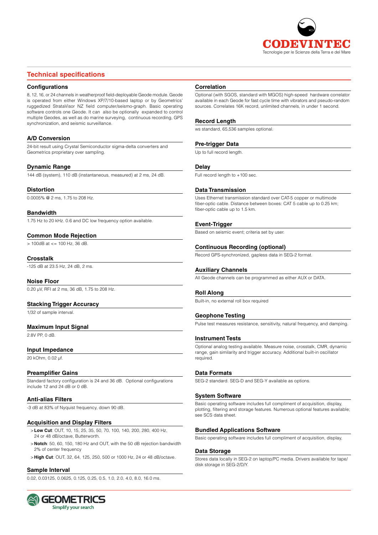

# **Technical specifications**

#### **Configurations**

8, 12, 16, or 24 channels in weatherproof field-deployable Geode module. Geode is operated from either Windows XP/7/10-based laptop or by Geometrics' ruggedized StrataVisor NZ field computer/seismo-graph. Basic operating software controls one Geode. It can also be optionally expanded to control multiple Geodes, as well as do marine surveying, continuous recording, GPS synchronization, and seismic surveillance.

#### **A/D Conversion**

24-bit result using Crystal Semiconductor sigma-delta converters and Geometrics proprietary over sampling.

#### **Dynamic Range**

144 dB (system), 110 dB (instantaneous, measured) at 2 ms, 24 dB.

#### **Distortion**

0.0005% @ 2 ms, 1.75 to 208 Hz.

#### **Bandwidth**

1.75 Hz to 20 kHz. 0.6 and DC low frequency option available.

# **Common Mode Rejection**

 $> 100$ dB at  $\lt$  = 100 Hz, 36 dB.

#### **Crosstalk**

-125 dB at 23.5 Hz, 24 dB, 2 ms.

#### **Noise Floor**

0.20 µV, RFI at 2 ms, 36 dB, 1.75 to 208 Hz.

#### **Stacking Trigger Accuracy**

1/32 of sample interval.

#### **Maximum Input Signal**

2.8V PP, 0 dB.

#### **Input Impedance**

20 kOhm, 0.02 µf.

#### **Preamplifier Gains**

Standard factory configuration is 24 and 36 dB. Optional configurations include 12 and 24 dB or 0 dB.

#### **Anti-alias Filters**

-3 dB at 83% of Nyquist frequency, down 90 dB.

#### **Acquisition and Display Filters**

- >**Low Cut**: OUT, 10, 15, 25, 35, 50, 70, 100, 140, 200, 280, 400 Hz, 24 or 48 dB/octave, Butterworth.
- > **Notch**: 50, 60, 150, 180 Hz and OUT, with the 50 dB rejection bandwidth 2% of center frequency
- > **High Cut**: OUT, 32, 64, 125, 250, 500 or 1000 Hz, 24 or 48 dB/octave.

#### **Sample Interval**

0.02, 0.03125, 0.0625, 0.125, 0.25, 0.5, 1.0, 2.0, 4.0, 8.0, 16.0 ms.



#### **Correlation**

Optional (with SGOS, standard with MGOS) high-speed hardware correlator available in each Geode for fast cycle time with vibrators and pseudo-random sources. Correlates 16K record, unlimited channels, in under 1 second.

#### **Record Length**

ws standard, 65,536 samples optional..

#### **Pre-trigger Data**

Up to full record length.

#### **Delay**

Full record length to +100 sec.

#### **Data Transmission**

Uses Ethernet transmission standard over CAT-5 copper or multimode fiber-optic cable. Distance between boxes: CAT 5 cable up to 0.25 km; fiber-optic cable up to 1.5 km.

#### **Event-Trigger**

Based on seismic event; criteria set by user.

#### **Continuous Recording (optional)**

Record GPS-synchronized, gapless data in SEG-2 format.

#### **Auxiliary Channels**

All Geode channels can be programmed as either AUX or DATA.

#### **Roll Along**

Built-in, no external roll box required

#### **Geophone Testing**

Pulse test measures resistance, sensitivity, natural frequency, and damping.

#### **Instrument Tests**

Optional analog testing available. Measure noise, crosstalk, CMR, dynamic range, gain similarity and trigger accuracy. Additional built-in oscillator required.

#### **Data Formats**

SEG-2 standard. SEG-D and SEG-Y available as options.

#### **System Software**

Basic operating software includes full compliment of acquisition, display, plotting, filtering and storage features. Numerous optional features available; see SCS data sheet.

#### **Bundled Applications Software**

Basic operating software includes full compliment of acquisition, display,

#### **Data Storage**

Stores data locally in SEG-2 on laptop/PC media. Drivers available for tape/ disk storage in SEG-2/D/Y.